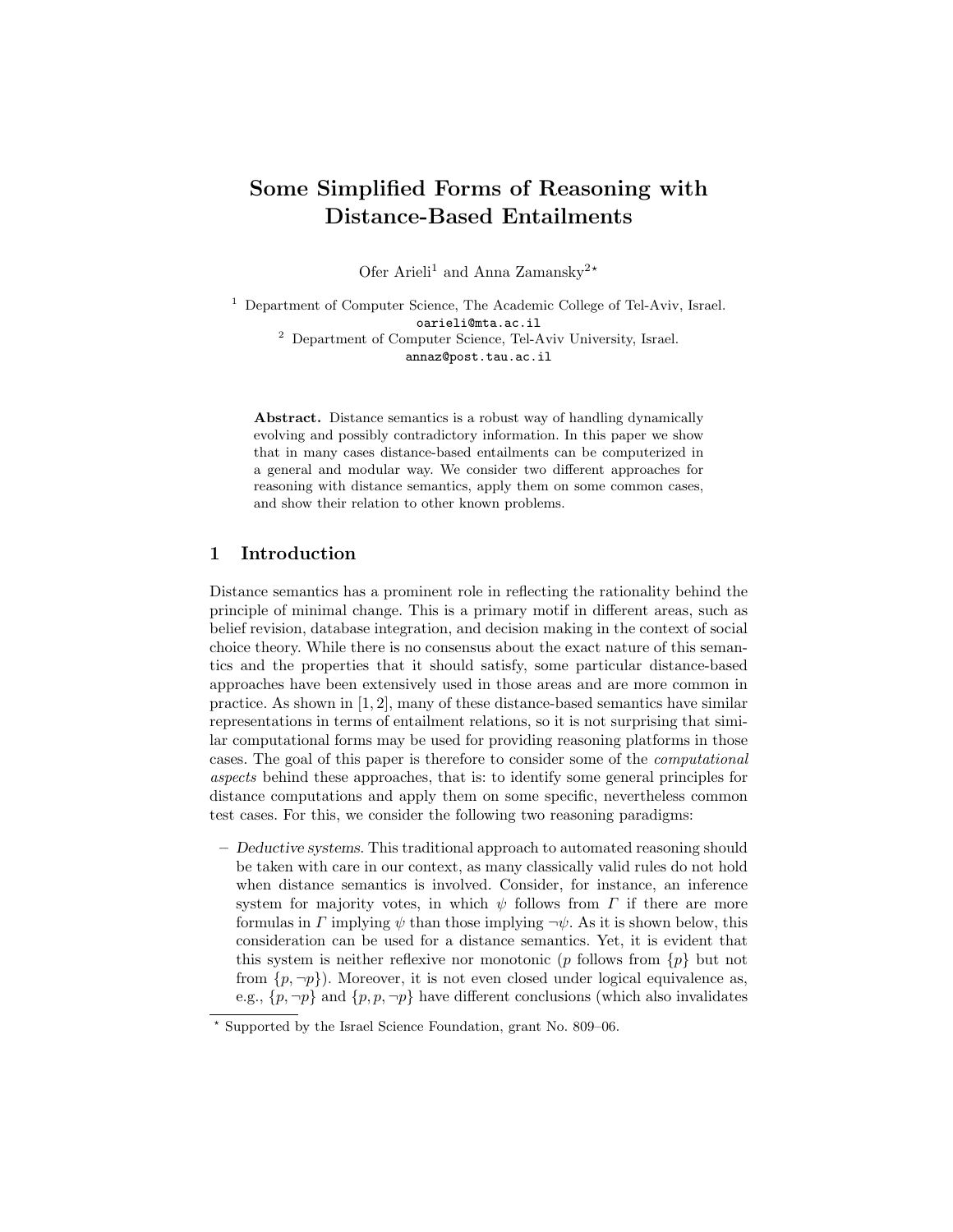# Some Simplified Forms of Reasoning with Distance-Based Entailments

Ofer Arieli<sup>1</sup> and Anna Zamansky<sup>2\*</sup>

<sup>1</sup> Department of Computer Science, The Academic College of Tel-Aviv, Israel. oarieli@mta.ac.il <sup>2</sup> Department of Computer Science, Tel-Aviv University, Israel. annaz@post.tau.ac.il

Abstract. Distance semantics is a robust way of handling dynamically evolving and possibly contradictory information. In this paper we show that in many cases distance-based entailments can be computerized in a general and modular way. We consider two different approaches for reasoning with distance semantics, apply them on some common cases, and show their relation to other known problems.

# 1 Introduction

Distance semantics has a prominent role in reflecting the rationality behind the principle of minimal change. This is a primary motif in different areas, such as belief revision, database integration, and decision making in the context of social choice theory. While there is no consensus about the exact nature of this semantics and the properties that it should satisfy, some particular distance-based approaches have been extensively used in those areas and are more common in practice. As shown in  $[1, 2]$ , many of these distance-based semantics have similar representations in terms of entailment relations, so it is not surprising that similar computational forms may be used for providing reasoning platforms in those cases. The goal of this paper is therefore to consider some of the computational aspects behind these approaches, that is: to identify some general principles for distance computations and apply them on some specific, nevertheless common test cases. For this, we consider the following two reasoning paradigms:

– Deductive systems. This traditional approach to automated reasoning should be taken with care in our context, as many classically valid rules do not hold when distance semantics is involved. Consider, for instance, an inference system for majority votes, in which  $\psi$  follows from  $\Gamma$  if there are more formulas in  $\Gamma$  implying  $\psi$  than those implying  $\neg \psi$ . As it is shown below, this consideration can be used for a distance semantics. Yet, it is evident that this system is neither reflexive nor monotonic (p follows from  $\{p\}$  but not from  $\{p, \neg p\}$ ). Moreover, it is not even closed under logical equivalence as, e.g.,  $\{p, \neg p\}$  and  $\{p, p, \neg p\}$  have different conclusions (which also invalidates

<sup>?</sup> Supported by the Israel Science Foundation, grant No. 809–06.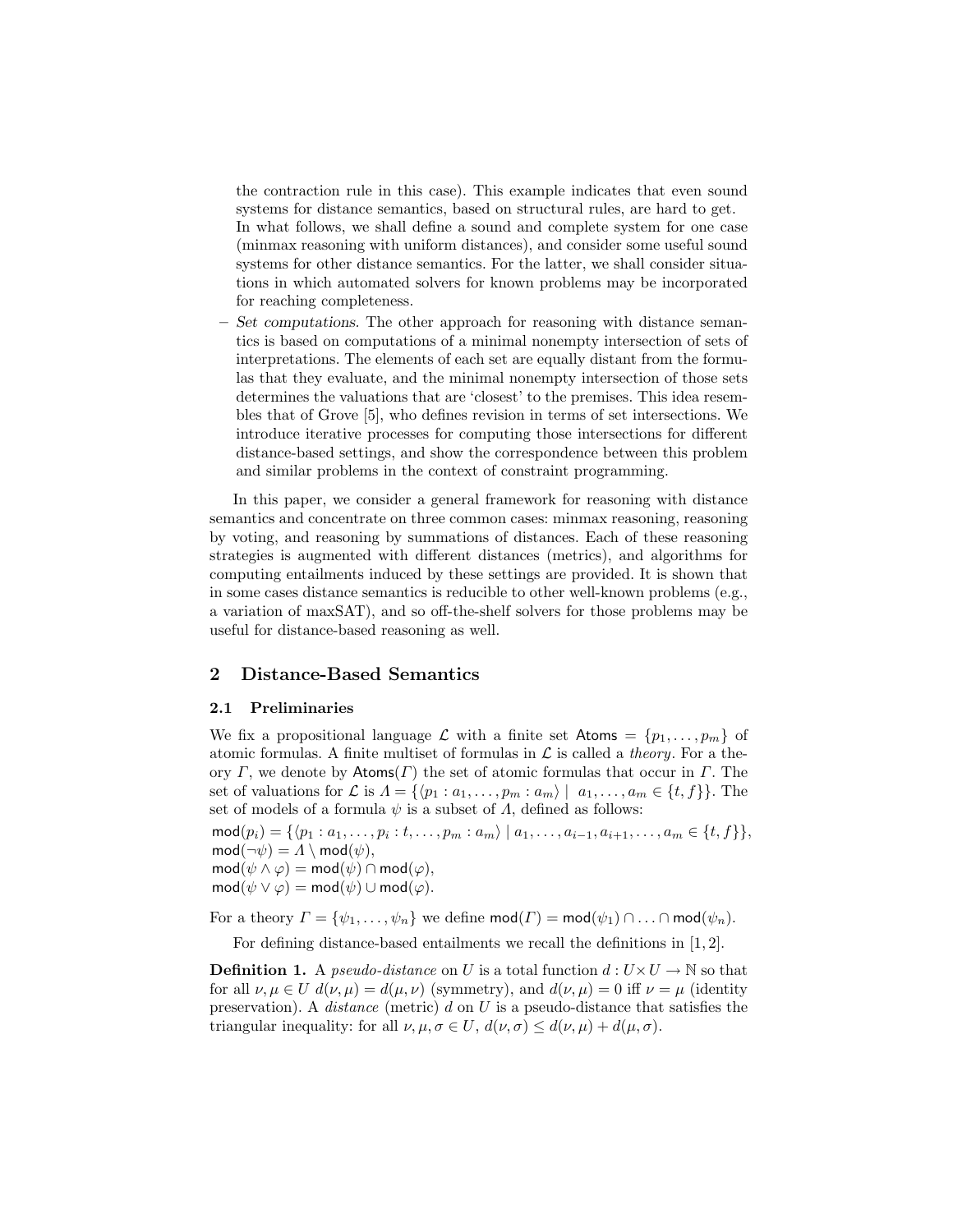the contraction rule in this case). This example indicates that even sound systems for distance semantics, based on structural rules, are hard to get. In what follows, we shall define a sound and complete system for one case (minmax reasoning with uniform distances), and consider some useful sound systems for other distance semantics. For the latter, we shall consider situations in which automated solvers for known problems may be incorporated for reaching completeness.

– Set computations. The other approach for reasoning with distance semantics is based on computations of a minimal nonempty intersection of sets of interpretations. The elements of each set are equally distant from the formulas that they evaluate, and the minimal nonempty intersection of those sets determines the valuations that are 'closest' to the premises. This idea resembles that of Grove [5], who defines revision in terms of set intersections. We introduce iterative processes for computing those intersections for different distance-based settings, and show the correspondence between this problem and similar problems in the context of constraint programming.

In this paper, we consider a general framework for reasoning with distance semantics and concentrate on three common cases: minmax reasoning, reasoning by voting, and reasoning by summations of distances. Each of these reasoning strategies is augmented with different distances (metrics), and algorithms for computing entailments induced by these settings are provided. It is shown that in some cases distance semantics is reducible to other well-known problems (e.g., a variation of maxSAT), and so off-the-shelf solvers for those problems may be useful for distance-based reasoning as well.

## 2 Distance-Based Semantics

## 2.1 Preliminaries

We fix a propositional language  $\mathcal L$  with a finite set Atoms =  $\{p_1, \ldots, p_m\}$  of atomic formulas. A finite multiset of formulas in  $\mathcal L$  is called a theory. For a theory Γ, we denote by  $\text{Atoms}(F)$  the set of atomic formulas that occur in Γ. The set of valuations for  $\mathcal L$  is  $\Lambda = \{ \langle p_1 : a_1, \ldots, p_m : a_m \rangle \mid a_1, \ldots, a_m \in \{t, f\} \}.$  The set of models of a formula  $\psi$  is a subset of  $\Lambda$ , defined as follows:

 $\textsf{mod}(p_i) = \{ \langle p_1 : a_1, \ldots, p_i : t, \ldots, p_m : a_m \rangle \mid a_1, \ldots, a_{i-1}, a_{i+1}, \ldots, a_m \in \{t, f\} \},$  $\text{mod}(\neg \psi) = \Lambda \setminus \text{mod}(\psi),$  $\text{mod}(\psi \land \varphi) = \text{mod}(\psi) \cap \text{mod}(\varphi),$  $\text{mod}(\psi \vee \varphi) = \text{mod}(\psi) \cup \text{mod}(\varphi).$ 

For a theory  $\Gamma = {\psi_1, \ldots, \psi_n}$  we define  $\text{mod}(\Gamma) = \text{mod}(\psi_1) \cap \ldots \cap \text{mod}(\psi_n)$ .

For defining distance-based entailments we recall the definitions in [1, 2].

**Definition 1.** A *pseudo-distance* on U is a total function  $d: U \times U \rightarrow \mathbb{N}$  so that for all  $\nu, \mu \in U$   $d(\nu, \mu) = d(\mu, \nu)$  (symmetry), and  $d(\nu, \mu) = 0$  iff  $\nu = \mu$  (identity) preservation). A *distance* (metric)  $d$  on  $U$  is a pseudo-distance that satisfies the triangular inequality: for all  $\nu, \mu, \sigma \in U$ ,  $d(\nu, \sigma) \leq d(\nu, \mu) + d(\mu, \sigma)$ .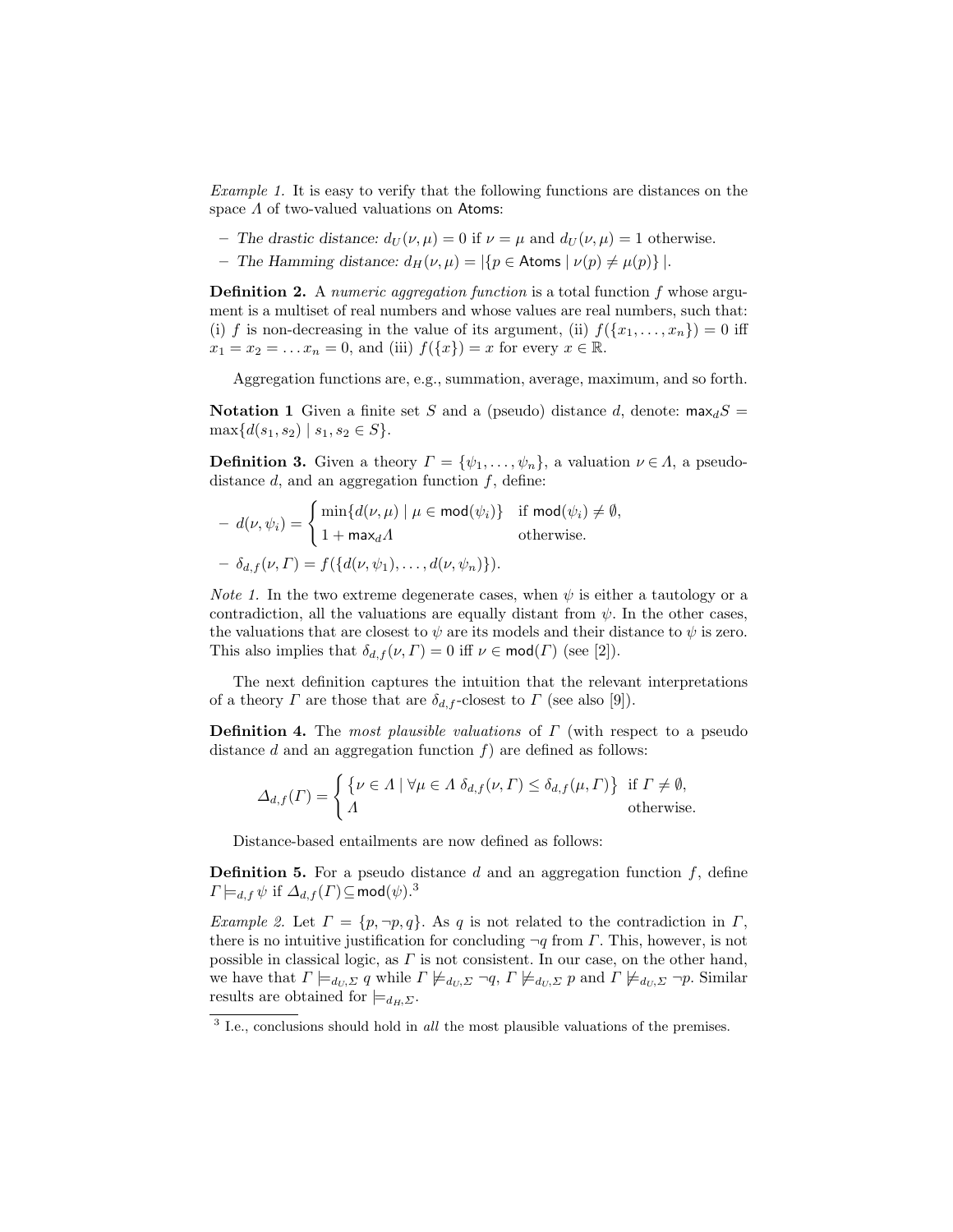Example 1. It is easy to verify that the following functions are distances on the space  $\Lambda$  of two-valued valuations on Atoms:

- The drastic distance:  $d_U(\nu, \mu) = 0$  if  $\nu = \mu$  and  $d_U(\nu, \mu) = 1$  otherwise.
- The Hamming distance:  $d_H(\nu,\mu) = |\{p \in \text{Atoms} \mid \nu(p) \neq \mu(p)\}|$ .

**Definition 2.** A numeric aggregation function is a total function f whose argument is a multiset of real numbers and whose values are real numbers, such that: (i) f is non-decreasing in the value of its argument, (ii)  $f(\{x_1, \ldots, x_n\}) = 0$  iff  $x_1 = x_2 = \dots x_n = 0$ , and (iii)  $f({x}) = x$  for every  $x \in \mathbb{R}$ .

Aggregation functions are, e.g., summation, average, maximum, and so forth.

Notation 1 Given a finite set S and a (pseudo) distance d, denote:  $\max_d S$  =  $\max\{d(s_1, s_2) \mid s_1, s_2 \in S\}.$ 

**Definition 3.** Given a theory  $\Gamma = {\psi_1, \ldots, \psi_n}$ , a valuation  $\nu \in \Lambda$ , a pseudodistance  $d$ , and an aggregation function  $f$ , define:

$$
- d(\nu, \psi_i) = \begin{cases} \min\{d(\nu, \mu) \mid \mu \in \text{mod}(\psi_i)\} & \text{if } \text{mod}(\psi_i) \neq \emptyset, \\ 1 + \max_d \Lambda & \text{otherwise.} \end{cases}
$$

$$
- \delta_{d,f}(\nu, \Gamma) = f(\{d(\nu, \psi_1), \dots, d(\nu, \psi_n)\}).
$$

*Note 1.* In the two extreme degenerate cases, when  $\psi$  is either a tautology or a contradiction, all the valuations are equally distant from  $\psi$ . In the other cases, the valuations that are closest to  $\psi$  are its models and their distance to  $\psi$  is zero. This also implies that  $\delta_{d,f}(\nu,\Gamma) = 0$  iff  $\nu \in \text{mod}(\Gamma)$  (see [2]).

The next definition captures the intuition that the relevant interpretations of a theory  $\Gamma$  are those that are  $\delta_{d,f}$ -closest to  $\Gamma$  (see also [9]).

**Definition 4.** The most plausible valuations of  $\Gamma$  (with respect to a pseudo distance d and an aggregation function  $f$ ) are defined as follows:

$$
\Delta_{d,f}(\Gamma) = \begin{cases} \{ \nu \in \Lambda \mid \forall \mu \in \Lambda \, \delta_{d,f}(\nu,\Gamma) \leq \delta_{d,f}(\mu,\Gamma) \} & \text{if } \Gamma \neq \emptyset, \\ \Lambda & \text{otherwise.} \end{cases}
$$

Distance-based entailments are now defined as follows:

**Definition 5.** For a pseudo distance  $d$  and an aggregation function  $f$ , define  $\Gamma \models_{d,f} \psi$  if  $\Delta_{d,f}(\Gamma) \subseteq \text{mod}(\psi).^3$ 

Example 2. Let  $\Gamma = \{p, \neg p, q\}$ . As q is not related to the contradiction in  $\Gamma$ , there is no intuitive justification for concluding  $\neg q$  from  $\Gamma$ . This, however, is not possible in classical logic, as  $\Gamma$  is not consistent. In our case, on the other hand, we have that  $\Gamma \models_{d_U, \Sigma} q$  while  $\Gamma \not\models_{d_U, \Sigma} \neg q$ ,  $\Gamma \not\models_{d_U, \Sigma} p$  and  $\Gamma \not\models_{d_U, \Sigma} \neg p$ . Similar results are obtained for  $\models_{d_H, \Sigma}$ .

 $3$  I.e., conclusions should hold in *all* the most plausible valuations of the premises.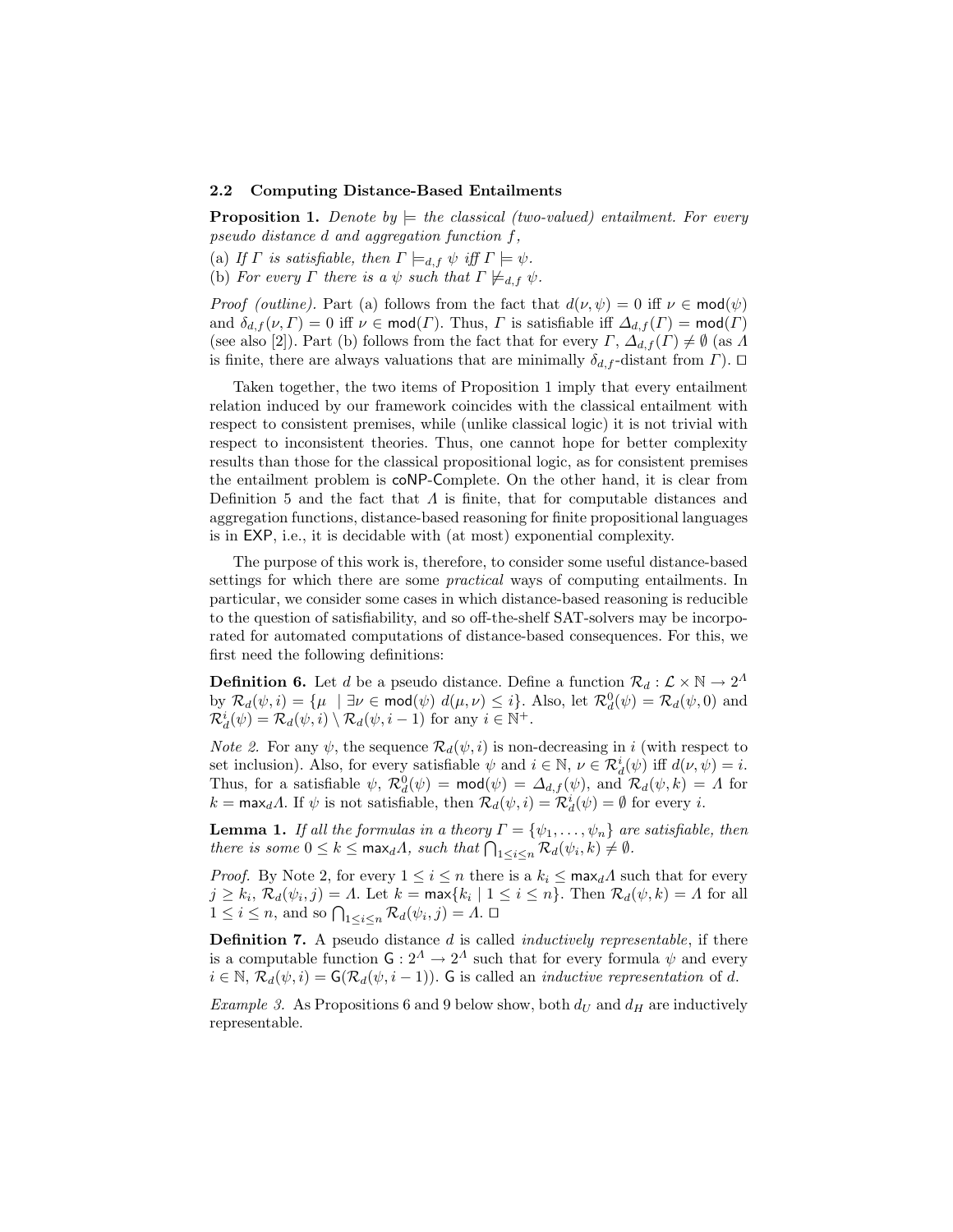#### 2.2 Computing Distance-Based Entailments

**Proposition 1.** Denote by  $\models$  the classical (two-valued) entailment. For every pseudo distance  $d$  and aggregation function  $f$ ,

- (a) If  $\Gamma$  is satisfiable, then  $\Gamma \models_{d,f} \psi$  iff  $\Gamma \models \psi$ .
- (b) For every  $\Gamma$  there is a  $\psi$  such that  $\Gamma \not\models_{d,f} \psi$ .

*Proof (outline).* Part (a) follows from the fact that  $d(\nu, \psi) = 0$  iff  $\nu \in \text{mod}(\psi)$ and  $\delta_{d,f}(\nu,\Gamma) = 0$  iff  $\nu \in \text{mod}(\Gamma)$ . Thus,  $\Gamma$  is satisfiable iff  $\Delta_{d,f}(\Gamma) = \text{mod}(\Gamma)$ (see also [2]). Part (b) follows from the fact that for every  $\Gamma$ ,  $\Delta_{d,f}(\Gamma) \neq \emptyset$  (as  $\Lambda$ is finite, there are always valuations that are minimally  $\delta_{d,f}$ -distant from  $\Gamma$ ).  $\Box$ 

Taken together, the two items of Proposition 1 imply that every entailment relation induced by our framework coincides with the classical entailment with respect to consistent premises, while (unlike classical logic) it is not trivial with respect to inconsistent theories. Thus, one cannot hope for better complexity results than those for the classical propositional logic, as for consistent premises the entailment problem is coNP-Complete. On the other hand, it is clear from Definition 5 and the fact that  $\Lambda$  is finite, that for computable distances and aggregation functions, distance-based reasoning for finite propositional languages is in EXP, i.e., it is decidable with (at most) exponential complexity.

The purpose of this work is, therefore, to consider some useful distance-based settings for which there are some *practical* ways of computing entailments. In particular, we consider some cases in which distance-based reasoning is reducible to the question of satisfiability, and so off-the-shelf SAT-solvers may be incorporated for automated computations of distance-based consequences. For this, we first need the following definitions:

**Definition 6.** Let d be a pseudo distance. Define a function  $\mathcal{R}_d : \mathcal{L} \times \mathbb{N} \to 2^{\Lambda}$ by  $\mathcal{R}_d(\psi, i) = {\mu \mid \exists \nu \in \text{mod}(\psi) \ d(\mu, \nu) \leq i}$ . Also, let  $\mathcal{R}_d^0(\psi) = \mathcal{R}_d(\psi, 0)$  and  $\mathcal{R}^i_d(\psi) = \mathcal{R}_d(\psi, i) \setminus \mathcal{R}_d(\psi, i - 1)$  for any  $i \in \mathbb{N}^+$ .

*Note 2.* For any  $\psi$ , the sequence  $\mathcal{R}_d(\psi, i)$  is non-decreasing in i (with respect to set inclusion). Also, for every satisfiable  $\psi$  and  $i \in \mathbb{N}$ ,  $\nu \in \mathcal{R}^i_d(\psi)$  iff  $d(\nu, \psi) = i$ . Thus, for a satisfiable  $\psi$ ,  $\mathcal{R}_d^0(\psi) = \text{mod}(\psi) = \Delta_{d,f}(\psi)$ , and  $\mathcal{R}_d(\psi, k) = \Lambda$  for  $k = \max_d \Lambda$ . If  $\psi$  is not satisfiable, then  $\mathcal{R}_d(\psi, i) = \mathcal{R}_d^i(\psi) = \emptyset$  for every *i*.

**Lemma 1.** If all the formulas in a theory  $\Gamma = {\psi_1, \dots, \psi_n}$  are satisfiable, then there is some  $0 \leq k \leq \max_d \Lambda$ , such that  $\bigcap_{1 \leq i \leq n} \mathcal{R}_d(\psi_i, k) \neq \emptyset$ .

*Proof.* By Note 2, for every  $1 \leq i \leq n$  there is a  $k_i \leq \max_d \Lambda$  such that for every  $j \geq k_i$ ,  $\mathcal{R}_d(\psi_i, j) = \Lambda$ . Let  $k = \max\{k_i \mid 1 \leq i \leq n\}$ . Then  $\mathcal{R}_d(\psi, k) = \Lambda$  for all  $1 \leq i \leq n$ , and so  $\bigcap_{1 \leq i \leq n} \mathcal{R}_d(\psi_i, j) = \Lambda$ .  $\Box$ 

**Definition 7.** A pseudo distance  $d$  is called *inductively representable*, if there is a computable function  $G: 2^{\Lambda} \to 2^{\Lambda}$  such that for every formula  $\psi$  and every  $i \in \mathbb{N}, \mathcal{R}_d(\psi, i) = \mathsf{G}(\mathcal{R}_d(\psi, i-1)).$  G is called an *inductive representation* of d.

*Example 3.* As Propositions 6 and 9 below show, both  $d_U$  and  $d_H$  are inductively representable.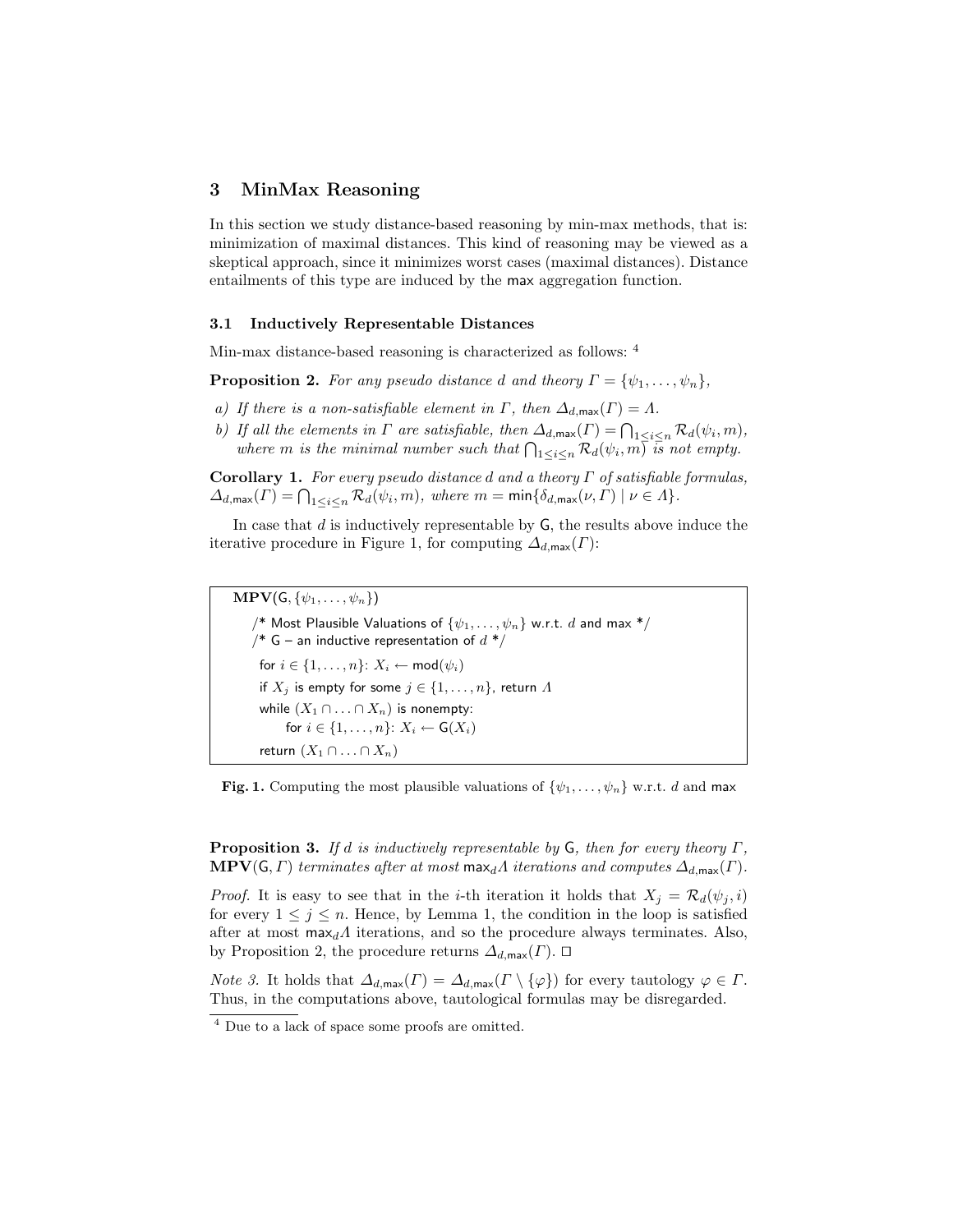# 3 MinMax Reasoning

In this section we study distance-based reasoning by min-max methods, that is: minimization of maximal distances. This kind of reasoning may be viewed as a skeptical approach, since it minimizes worst cases (maximal distances). Distance entailments of this type are induced by the max aggregation function.

## 3.1 Inductively Representable Distances

Min-max distance-based reasoning is characterized as follows: <sup>4</sup>

**Proposition 2.** For any pseudo distance d and theory  $\Gamma = \{\psi_1, \ldots, \psi_n\},\$ 

- a) If there is a non-satisfiable element in  $\Gamma$ , then  $\Delta_{d,\max}(\Gamma) = \Lambda$ .
- b) If all the elements in  $\Gamma$  are satisfiable, then  $\Delta_{d,\max}(\Gamma) = \bigcap_{1 \leq i \leq n} \mathcal{R}_d(\psi_i, m)$ , where m is the minimal number such that  $\bigcap_{1 \leq i \leq n} \mathcal{R}_d(\psi_i, m)$  is not empty.

Corollary 1. For every pseudo distance d and a theory  $\Gamma$  of satisfiable formulas,  $\Delta_{d,\max}(\Gamma) = \bigcap_{1 \leq i \leq n} \mathcal{R}_d(\psi_i,m), \text{ where } m = \min\{\delta_{d,\max}(\nu,\Gamma) \mid \nu \in \Lambda\}.$ 

In case that  $d$  is inductively representable by  $\mathsf{G}$ , the results above induce the iterative procedure in Figure 1, for computing  $\Delta_{d,\max}(\Gamma)$ :

 $\textbf{MPV}(\mathsf{G}, \{\psi_1, \ldots, \psi_n\})$ /\* Most Plausible Valuations of  $\{\psi_1, \ldots, \psi_n\}$  w.r.t. d and max \*/ /\* G – an inductive representation of  $d *$ / for  $i \in \{1, \ldots, n\}$ :  $X_i \leftarrow \text{mod}(\psi_i)$ if  $X_j$  is empty for some  $j \in \{1, \ldots, n\}$ , return  $\Lambda$ while  $(X_1 \cap \ldots \cap X_n)$  is nonempty: for  $i \in \{1, \ldots, n\}$ :  $X_i \leftarrow G(X_i)$ return  $(X_1 \cap \ldots \cap X_n)$ 

Fig. 1. Computing the most plausible valuations of  $\{\psi_1, \ldots, \psi_n\}$  w.r.t. d and max

**Proposition 3.** If d is inductively representable by  $\mathsf{G}$ , then for every theory  $\Gamma$ ,  $\text{MPV}(\textsf{G}, \Gamma)$  terminates after at most max<sub>d</sub>Λ iterations and computes  $\Delta_{d,\text{max}}(\Gamma)$ .

*Proof.* It is easy to see that in the *i*-th iteration it holds that  $X_j = \mathcal{R}_d(\psi_j, i)$ for every  $1 \leq j \leq n$ . Hence, by Lemma 1, the condition in the loop is satisfied after at most  $\max_d \Lambda$  iterations, and so the procedure always terminates. Also, by Proposition 2, the procedure returns  $\Delta_{d,\max}(\Gamma)$ .  $\Box$ 

*Note 3.* It holds that  $\Delta_{d,\max}(\Gamma) = \Delta_{d,\max}(\Gamma \setminus {\varphi})$  for every tautology  $\varphi \in \Gamma$ . Thus, in the computations above, tautological formulas may be disregarded.

<sup>4</sup> Due to a lack of space some proofs are omitted.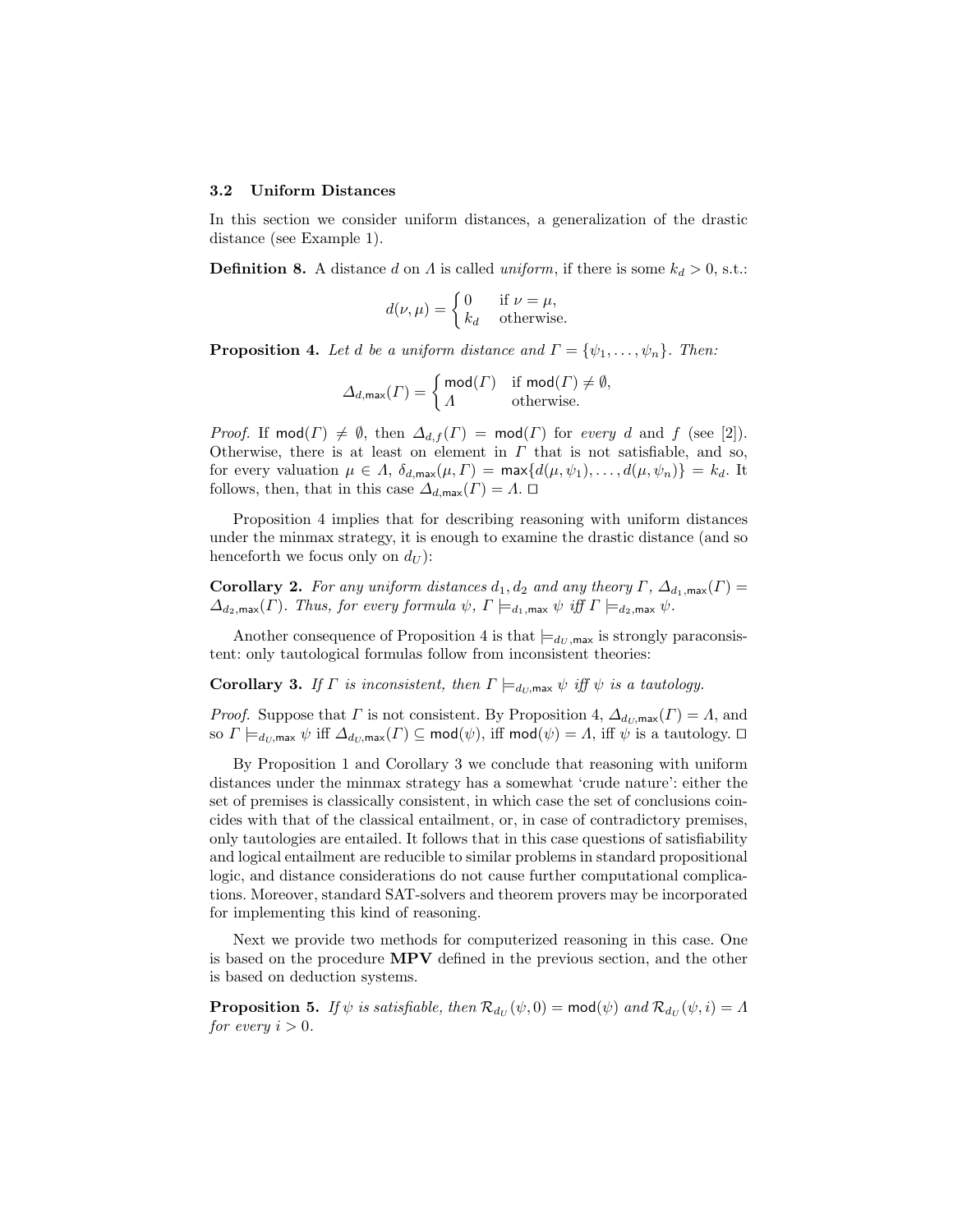## 3.2 Uniform Distances

In this section we consider uniform distances, a generalization of the drastic distance (see Example 1).

**Definition 8.** A distance d on  $\Lambda$  is called uniform, if there is some  $k_d > 0$ , s.t.:

$$
d(\nu, \mu) = \begin{cases} 0 & \text{if } \nu = \mu, \\ k_d & \text{otherwise.} \end{cases}
$$

**Proposition 4.** Let d be a uniform distance and  $\Gamma = \{\psi_1, \ldots, \psi_n\}$ . Then:

$$
\Delta_{d,\max}(\Gamma) = \begin{cases} \text{mod}(\Gamma) & \text{if } \text{mod}(\Gamma) \neq \emptyset, \\ \Lambda & \text{otherwise.} \end{cases}
$$

*Proof.* If  $mod(\Gamma) \neq \emptyset$ , then  $\Delta_{d,f}(\Gamma) = mod(\Gamma)$  for every d and f (see [2]). Otherwise, there is at least on element in  $\Gamma$  that is not satisfiable, and so, for every valuation  $\mu \in \Lambda$ ,  $\delta_{d,\max}(\mu, \Gamma) = \max\{d(\mu, \psi_1), \ldots, d(\mu, \psi_n)\} = k_d$ . It follows, then, that in this case  $\Delta_{d,\max}(\Gamma) = \Lambda$ .  $\Box$ 

Proposition 4 implies that for describing reasoning with uniform distances under the minmax strategy, it is enough to examine the drastic distance (and so henceforth we focus only on  $d_U$ :

**Corollary 2.** For any uniform distances  $d_1, d_2$  and any theory  $\Gamma$ ,  $\Delta_{d_1,\text{max}}(\Gamma)$  =  $\Delta_{d_2,\max}(\Gamma)$ . Thus, for every formula  $\psi$ ,  $\Gamma \models_{d_1,\max} \psi$  iff  $\Gamma \models_{d_2,\max} \psi$ .

Another consequence of Proposition 4 is that  $\models_{d_U, \text{max}}$  is strongly paraconsistent: only tautological formulas follow from inconsistent theories:

**Corollary 3.** If  $\Gamma$  is inconsistent, then  $\Gamma \models_{d_U, \text{max}} \psi$  iff  $\psi$  is a tautology.

*Proof.* Suppose that  $\Gamma$  is not consistent. By Proposition 4,  $\Delta_{d_U, \max}(\Gamma) = \Lambda$ , and so  $\Gamma \models_{d_U, \text{max}} \psi$  iff  $\Delta_{d_U, \text{max}}(\Gamma) \subseteq \text{mod}(\psi)$ , iff  $\text{mod}(\psi) = \Lambda$ , iff  $\psi$  is a tautology.  $\Box$ 

By Proposition 1 and Corollary 3 we conclude that reasoning with uniform distances under the minmax strategy has a somewhat 'crude nature': either the set of premises is classically consistent, in which case the set of conclusions coincides with that of the classical entailment, or, in case of contradictory premises, only tautologies are entailed. It follows that in this case questions of satisfiability and logical entailment are reducible to similar problems in standard propositional logic, and distance considerations do not cause further computational complications. Moreover, standard SAT-solvers and theorem provers may be incorporated for implementing this kind of reasoning.

Next we provide two methods for computerized reasoning in this case. One is based on the procedure MPV defined in the previous section, and the other is based on deduction systems.

**Proposition 5.** If  $\psi$  is satisfiable, then  $\mathcal{R}_{d_U}(\psi, 0) = \text{mod}(\psi)$  and  $\mathcal{R}_{d_U}(\psi, i) = \Lambda$ for every  $i > 0$ .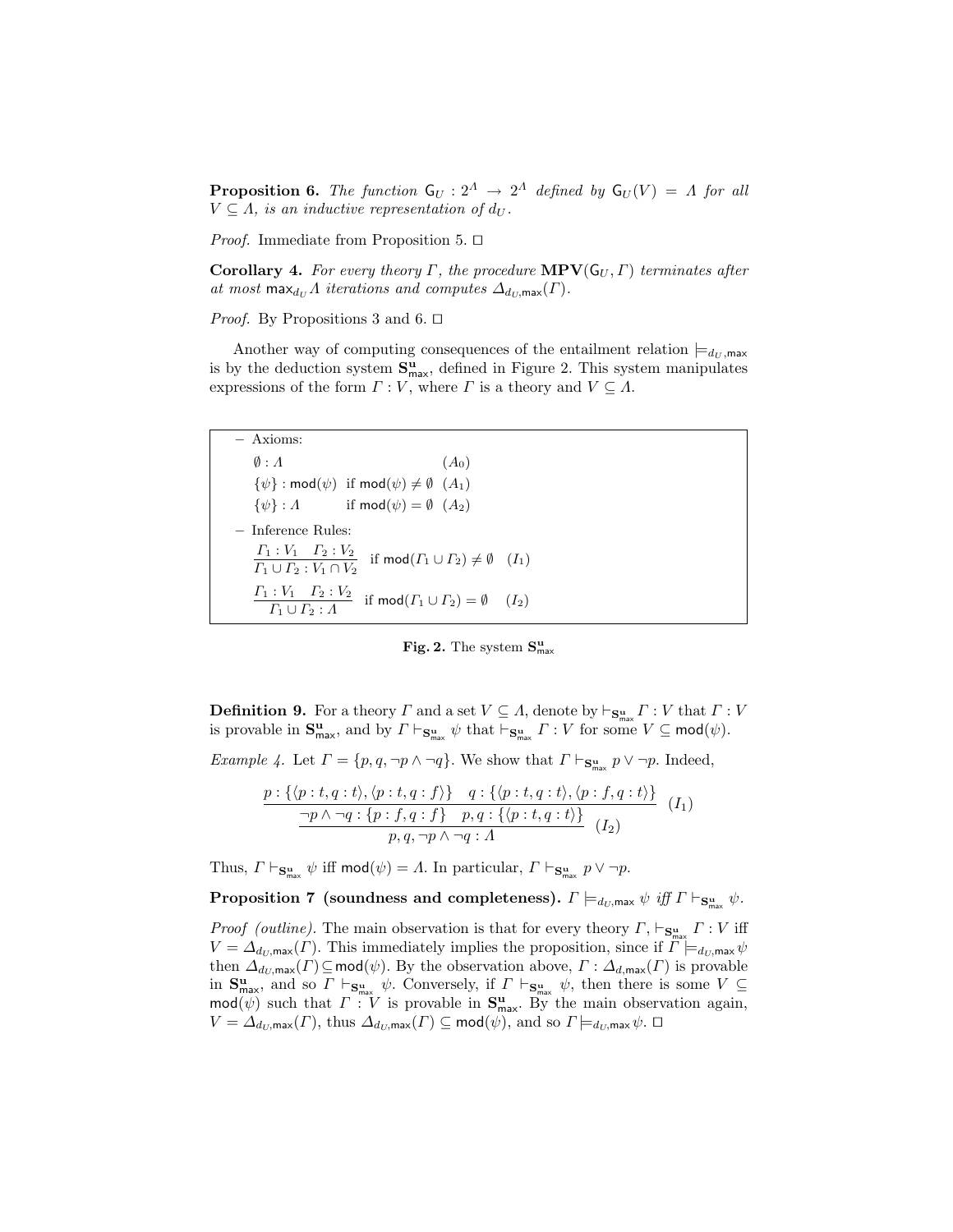**Proposition 6.** The function  $G_U: 2^{\Lambda} \rightarrow 2^{\Lambda}$  defined by  $G_U(V) = \Lambda$  for all  $V \subseteq \Lambda$ , is an inductive representation of  $d_U$ .

*Proof.* Immediate from Proposition 5.  $\Box$ 

**Corollary 4.** For every theory  $\Gamma$ , the procedure **MPV**( $\mathsf{G}_U$ ,  $\Gamma$ ) terminates after at most max $_{d_U}$  $\Lambda$  iterations and computes  $\Delta_{d_U, \text{max}}(\Gamma)$ .

*Proof.* By Propositions 3 and 6.  $\Box$ 

Another way of computing consequences of the entailment relation  $\models_{d_U, \text{max}}$ is by the deduction system  $S_{\text{max}}^u$ , defined in Figure 2. This system manipulates expressions of the form  $\Gamma: V$ , where  $\Gamma$  is a theory and  $V \subseteq \Lambda$ .

– Axioms:  $\emptyset$  :  $\Lambda$  (A<sub>0</sub>)  $\{\psi\}$ : mod $(\psi)$  if mod $(\psi) \neq \emptyset$   $(A_1)$  $\{\psi\}: A$  if  $\mathsf{mod}(\psi) = \emptyset$   $(A_2)$ – Inference Rules:  $\Gamma_1 : V_1 \quad \Gamma_2 : V_2$  $\frac{T_1 \cdot V_1 - T_2 \cdot V_2}{T_1 \cup T_2 : V_1 \cap V_2}$  if mod $(T_1 \cup T_2) \neq \emptyset$   $(I_1)$  $\Gamma_1 : V_1 \quad \Gamma_2 : V_2$  $\frac{N_1 + N_2 + N_2}{\Gamma_1 \cup \Gamma_2 : \Lambda}$  if mod $(\Gamma_1 \cup \Gamma_2) = \emptyset$   $(I_2)$ 

Fig. 2. The system  $S_{\text{max}}^{\text{u}}$ 

**Definition 9.** For a theory  $\Gamma$  and a set  $V \subseteq \Lambda$ , denote by  $\vdash_{\mathbf{S}_{\max}^{\mathbf{u}}} \Gamma : V$  that  $\Gamma : V$ is provable in  $\mathbf{S}_{\text{max}}^{\mathbf{u}}$ , and by  $\Gamma \vdash_{\mathbf{S}_{\text{max}}^{\mathbf{u}}} \psi$  that  $\vdash_{\mathbf{S}_{\text{max}}^{\mathbf{u}}} \Gamma : V$  for some  $V \subseteq \text{mod}(\psi)$ .

*Example 4.* Let  $\Gamma = \{p, q, \neg p \land \neg q\}$ . We show that  $\Gamma \vdash_{\mathbf{S}^{\mathbf{u}}_{\text{max}}} p \lor \neg p$ . Indeed,

$$
\frac{p: \{ \langle p: t, q: t \rangle, \langle p: t, q: f \rangle \} \quad q: \{ \langle p: t, q: t \rangle, \langle p: f, q: t \rangle \} \quad (I_1)}{\neg p \land \neg q: \{ p: f, q: f \} \quad p, q: \{ \langle p: t, q: t \rangle \} \quad (I_2)} \quad (I_3)
$$

Thus,  $\Gamma \vdash_{\mathbf{S}^{\mathbf{u}}_{\max}} \psi$  iff  $\mathsf{mod}(\psi) = \Lambda$ . In particular,  $\Gamma \vdash_{\mathbf{S}^{\mathbf{u}}_{\max}} p \vee \neg p$ .

 $\textbf{Proposition 7 (soundness and completeness).} \; \varGamma \models_{d_U, \textbf{max}} \psi \; \textit{iff} \; \varGamma \vdash_{\mathbf{S}_{\textbf{max}}^{\textbf{u}}} \psi.$ 

*Proof (outline)*. The main observation is that for every theory  $\Gamma$ ,  $\vdash_{\mathbf{S}^{\mathbf{u}}_{\text{max}}} \Gamma : V$  iff  $V = \Delta_{d_U, \text{max}}(\Gamma)$ . This immediately implies the proposition, since if  $\Gamma \models_{d_U, \text{max}} \psi$ then  $\Delta_{d_U,\text{max}}(\Gamma) \subseteq \text{mod}(\psi)$ . By the observation above,  $\Gamma : \Delta_{d,\text{max}}(\Gamma)$  is provable in  $\mathbf{S}_{\text{max}}^{\mathbf{u}}$ , and so  $\Gamma \vdash_{\mathbf{S}_{\text{max}}^{\mathbf{u}}} \psi$ . Conversely, if  $\Gamma \vdash_{\mathbf{S}_{\text{max}}^{\mathbf{u}}} \psi$ , then there is some  $V \subseteq$  $mod(\psi)$  such that  $\Gamma : V$  is provable in  $S_{\text{max}}^u$ . By the main observation again,  $V = \Delta_{d_U, \max}(\Gamma)$ , thus  $\Delta_{d_U, \max}(\Gamma) \subseteq \text{mod}(\psi)$ , and so  $\Gamma \models_{d_U, \max} \psi$ .  $\Box$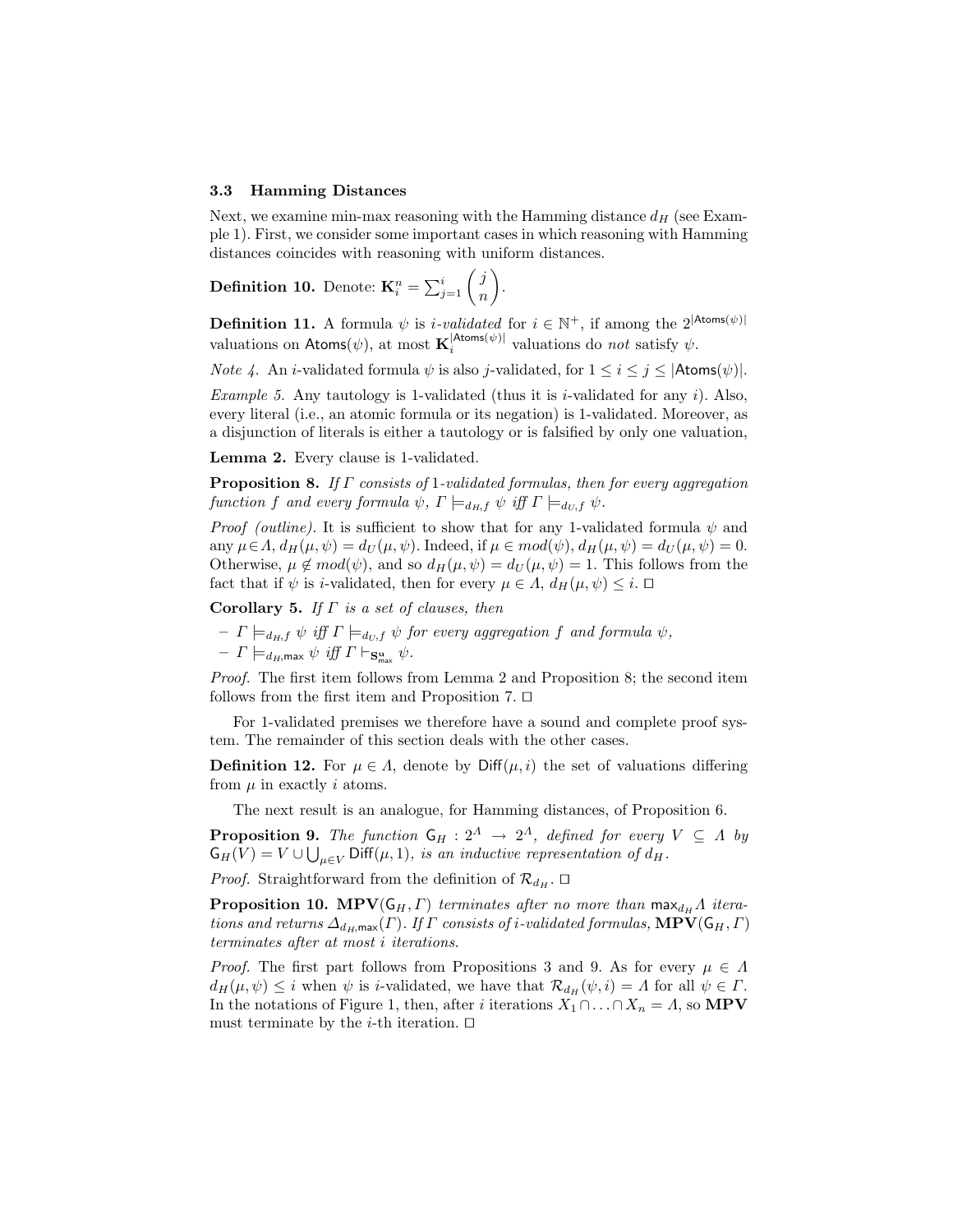#### 3.3 Hamming Distances

Next, we examine min-max reasoning with the Hamming distance  $d_H$  (see Example 1). First, we consider some important cases in which reasoning with Hamming distances coincides with reasoning with uniform distances.

**Definition 10.** Denote:  $\mathbf{K}_i^n = \sum_{j=1}^i \begin{pmatrix} j \\ n \end{pmatrix}$ n .

**Definition 11.** A formula  $\psi$  is *i-validated* for  $i \in \mathbb{N}^+$ , if among the  $2^{|\text{Atoms}(\psi)|}$ valuations on  $\mathsf{Atoms}(\psi)$ , at most  $\mathbf{K}_i^{|\mathsf{Atoms}(\psi)|}$  valuations do *not* satisfy  $\psi$ .

*Note 4.* An *i*-validated formula  $\psi$  is also *j*-validated, for  $1 \le i \le j \le |\text{Atoms}(\psi)|$ .

Example 5. Any tautology is 1-validated (thus it is *i*-validated for any *i*). Also, every literal (i.e., an atomic formula or its negation) is 1-validated. Moreover, as a disjunction of literals is either a tautology or is falsified by only one valuation,

Lemma 2. Every clause is 1-validated.

**Proposition 8.** If  $\Gamma$  consists of 1-validated formulas, then for every aggregation function f and every formula  $\psi$ ,  $\Gamma \models_{d_H, f} \psi$  iff  $\Gamma \models_{d_U, f} \psi$ .

*Proof (outline)*. It is sufficient to show that for any 1-validated formula  $\psi$  and any  $\mu \in \Lambda$ ,  $d_H(\mu, \psi) = d_U(\mu, \psi)$ . Indeed, if  $\mu \in mod(\psi)$ ,  $d_H(\mu, \psi) = d_U(\mu, \psi) = 0$ . Otherwise,  $\mu \notin mod(\psi)$ , and so  $d_H(\mu, \psi) = d_U(\mu, \psi) = 1$ . This follows from the fact that if  $\psi$  is *i*-validated, then for every  $\mu \in \Lambda$ ,  $d_H(\mu, \psi) \leq i$ .  $\Box$ 

Corollary 5. If  $\Gamma$  is a set of clauses, then

- $-I \models_{d_H, f} \psi$  iff  $\Gamma \models_{d_U, f} \psi$  for every aggregation f and formula  $\psi$ ,
- $\varGamma \models_{d_H, \sf max} \psi \text{ iff } \varGamma \vdash_{\mathbf{S_{max}^u}} \psi$ .

Proof. The first item follows from Lemma 2 and Proposition 8; the second item follows from the first item and Proposition 7.  $\Box$ 

For 1-validated premises we therefore have a sound and complete proof system. The remainder of this section deals with the other cases.

**Definition 12.** For  $\mu \in \Lambda$ , denote by Diff $(\mu, i)$  the set of valuations differing from  $\mu$  in exactly *i* atoms.

The next result is an analogue, for Hamming distances, of Proposition 6.

**Proposition 9.** The function  $\mathsf{G}_H : 2^{\Lambda} \to 2^{\Lambda}$ , defined for every  $V \subseteq \Lambda$  by  $\mathsf{G}_H(V) = V \cup \bigcup_{\mu \in V} \text{Diff}(\mu, 1),$  is an inductive representation of  $d_H$ .

*Proof.* Straightforward from the definition of  $\mathcal{R}_{d_H}$ .  $\Box$ 

**Proposition 10. MPV**( $\mathsf{G}_H$ , Γ) terminates after no more than  $\max_{d_H} \Lambda$  iterations and returns  $\Delta_{d_H, \text{max}}(\Gamma)$ . If  $\Gamma$  consists of i-validated formulas,  $\text{MPV}(\mathsf{G}_H, \Gamma)$ terminates after at most i iterations.

*Proof.* The first part follows from Propositions 3 and 9. As for every  $\mu \in \Lambda$  $d_H(\mu, \psi) \leq i$  when  $\psi$  is *i*-validated, we have that  $\mathcal{R}_{d_H}(\psi, i) = \Lambda$  for all  $\psi \in \Gamma$ . In the notations of Figure 1, then, after i iterations  $X_1 \cap \ldots \cap X_n = \Lambda$ , so MPV must terminate by the *i*-th iteration.  $\Box$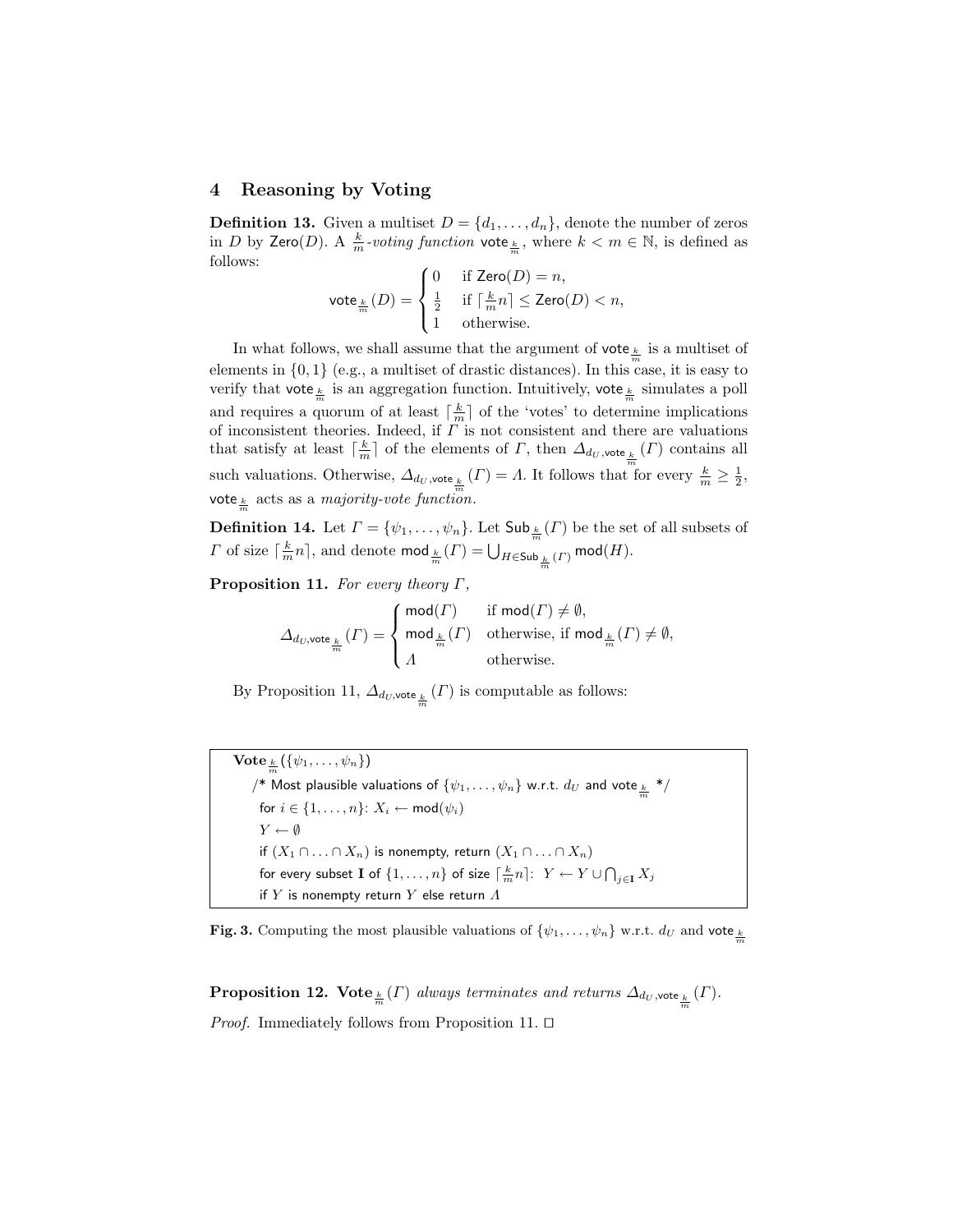# 4 Reasoning by Voting

**Definition 13.** Given a multiset  $D = \{d_1, \ldots, d_n\}$ , denote the number of zeros in D by Zero(D). A  $\frac{k}{m}$ -voting function vote  $\frac{k}{m}$ , where  $k < m \in \mathbb{N}$ , is defined as follows:

$$
\text{vote}_{\frac{k}{m}}(D) = \begin{cases} 0 & \text{if } \mathsf{Zero}(D) = n, \\ \frac{1}{2} & \text{if } \lceil \frac{k}{m} n \rceil \leq \mathsf{Zero}(D) < n, \\ 1 & \text{otherwise.} \end{cases}
$$

In what follows, we shall assume that the argument of  $\text{vote}\frac{k}{m}$  is a multiset of elements in {0, 1} (e.g., a multiset of drastic distances). In this case, it is easy to verify that vote  $\frac{k}{m}$  is an aggregation function. Intuitively, vote  $\frac{k}{m}$  simulates a poll and requires a quorum of at least  $\lceil \frac{k}{m} \rceil$  of the 'votes' to determine implications of inconsistent theories. Indeed, if  $\Gamma$  is not consistent and there are valuations that satisfy at least  $\lceil \frac{k}{m} \rceil$  of the elements of  $\Gamma$ , then  $\Delta_{d_U, \text{vote}\frac{k}{m}}(\Gamma)$  contains all such valuations. Otherwise,  $\Delta_{d_U, \text{vote}\frac{k}{m}}(\Gamma) = \Lambda$ . It follows that for every  $\frac{k}{m} \ge \frac{1}{2}$ , vote  $\frac{k}{m}$  acts as a *majority-vote function*.

**Definition 14.** Let  $\Gamma = \{\psi_1, \dots, \psi_n\}$ . Let  $\mathsf{Sub}_{\frac{k}{m}}(\Gamma)$  be the set of all subsets of *Γ* of size  $\lceil \frac{k}{m}n \rceil$ , and denote  $\text{mod}_{\frac{k}{m}}(F) = \bigcup_{H \in \text{Sub}_{\frac{k}{m}}(F)} \text{mod}(H)$ .

**Proposition 11.** For every theory  $\Gamma$ ,

$$
\varDelta_{d_U,{\text {vote}}\frac{k}{m}}(\varGamma)=\left\{\begin{aligned} &\text{mod}(\varGamma)&\quad\text{ if }\text{mod}(\varGamma)\neq\emptyset,\\ &\text{mod}\frac{k}{m}(\varGamma)&\quad\text{otherwise},\text{ if }\text{mod}\frac{k}{m}(\varGamma)\neq\emptyset,\\ &\varLambda&\quad\text{otherwise}.\end{aligned}\right.
$$

By Proposition 11,  $\Delta_{d_U, \text{vote} \frac{k}{m}}(\Gamma)$  is computable as follows:

 $\mathbf{Vote}_{\frac{k}{m}}(\{\psi_1,\ldots,\psi_n\})$  $\gamma^\ast$  Most plausible valuations of  $\{\psi_1,\ldots,\psi_n\}$  w.r.t.  $d_U$  and vote  $\frac{k}{m}$   $^{\ast}/\gamma$ for  $i \in \{1, \ldots, n\}$ :  $X_i \leftarrow \text{mod}(\psi_i)$  $Y \leftarrow \emptyset$ if  $(X_1 \cap ... \cap X_n)$  is nonempty, return  $(X_1 \cap ... \cap X_n)$ for every subset  ${\bf I}$  of  $\{1,\ldots,n\}$  of size  $\lceil \frac{k}{m}n \rceil\colon\ Y \leftarrow Y\cup \bigcap_{j\in {\bf I}}X_j$ if  $Y$  is nonempty return  $Y$  else return  $\Lambda$ 

**Fig. 3.** Computing the most plausible valuations of  $\{\psi_1, \ldots, \psi_n\}$  w.r.t.  $d_U$  and vote  $\frac{k}{m}$ 

**Proposition 12.** Vote  $\frac{k}{m}(\Gamma)$  always terminates and returns  $\Delta_{d_U, \text{vote}}(\Gamma)$ . *Proof.* Immediately follows from Proposition 11.  $\Box$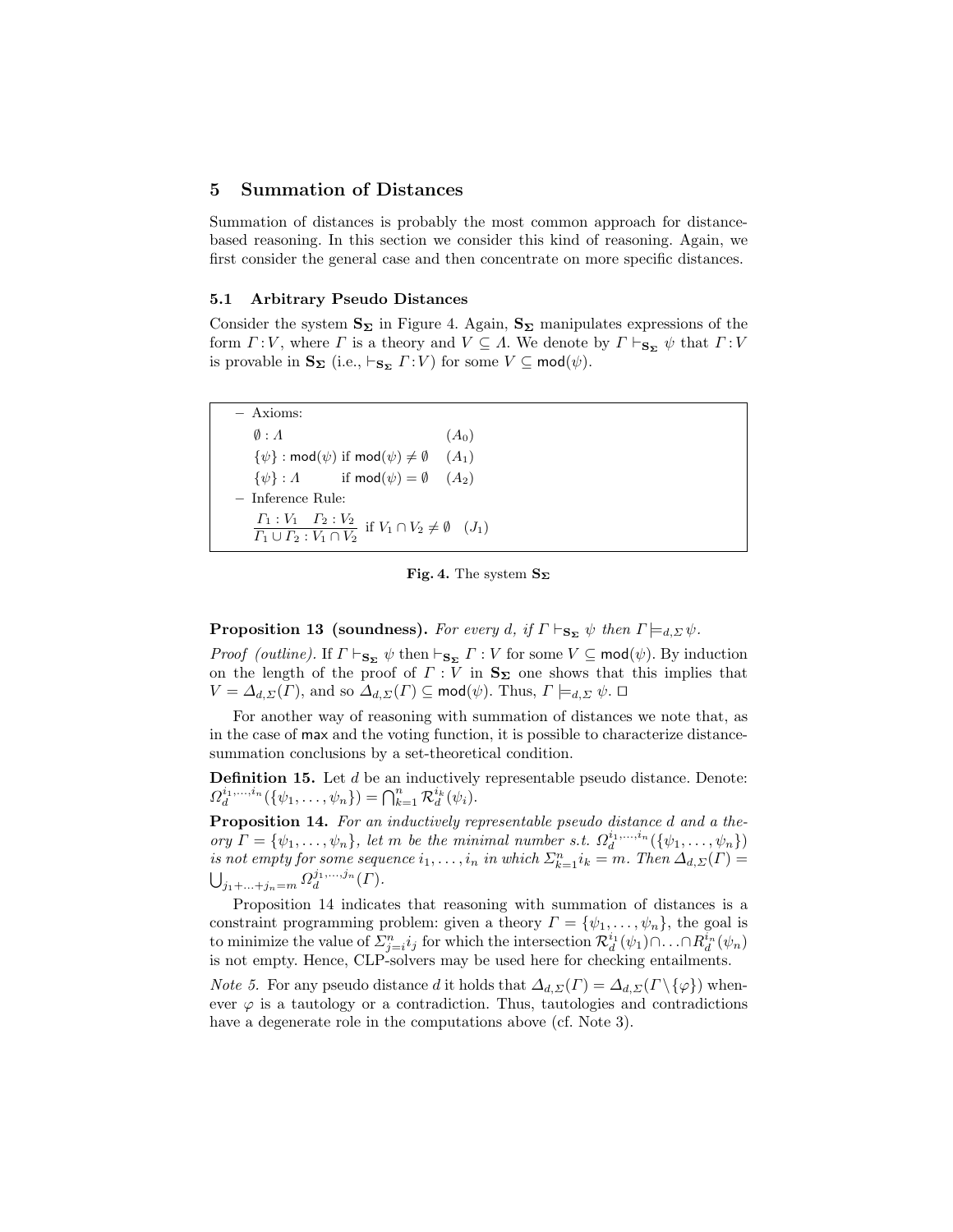## 5 Summation of Distances

Summation of distances is probably the most common approach for distancebased reasoning. In this section we consider this kind of reasoning. Again, we first consider the general case and then concentrate on more specific distances.

## 5.1 Arbitrary Pseudo Distances

Consider the system  $S_{\Sigma}$  in Figure 4. Again,  $S_{\Sigma}$  manipulates expressions of the form  $\Gamma: V$ , where  $\Gamma$  is a theory and  $V \subseteq \Lambda$ . We denote by  $\Gamma \vdash_{\mathbf{S}_{\Sigma}} \psi$  that  $\Gamma: V$ is provable in  $\mathbf{S}_{\Sigma}$  (i.e.,  $\vdash_{\mathbf{S}_{\Sigma}} \Gamma : V$ ) for some  $V \subseteq \mathsf{mod}(\psi)$ .

– Axioms:  $\emptyset$  :  $\Lambda$  (A<sub>0</sub>)  $\{\psi\}$  : mod $(\psi)$  if mod $(\psi) \neq \emptyset$   $(A_1)$  $\{\psi\}: A$  if  $mod(\psi) = \emptyset$   $(A_2)$ – Inference Rule:  $\Gamma_1 : V_1 \quad \Gamma_2 : V_2$  $\frac{1}{\Gamma_1 \cup \Gamma_2 : V_1 \cap V_2}$  if  $V_1 \cap V_2 \neq \emptyset$   $(J_1)$ 

Fig. 4. The system  $S_{\Sigma}$ 

**Proposition 13 (soundness).** For every d, if  $\Gamma \vdash_{\mathbf{S}_{\Sigma}} \psi$  then  $\Gamma \models_{d,\Sigma} \psi$ .

*Proof (outline)*. If  $\Gamma \vdash_{S_{\Sigma}} \psi$  then  $\vdash_{S_{\Sigma}} \Gamma : V$  for some  $V \subseteq \text{mod}(\psi)$ . By induction on the length of the proof of  $\Gamma: V$  in  $S_{\Sigma}$  one shows that this implies that  $V = \Delta_{d,\Sigma}(\Gamma)$ , and so  $\Delta_{d,\Sigma}(\Gamma) \subseteq \text{mod}(\psi)$ . Thus,  $\Gamma \models_{d,\Sigma} \psi$ .  $\Box$ 

For another way of reasoning with summation of distances we note that, as in the case of max and the voting function, it is possible to characterize distancesummation conclusions by a set-theoretical condition.

**Definition 15.** Let  $d$  be an inductively representable pseudo distance. Denote:  $\Omega_d^{i_1,...,i_n}(\{\psi_1,\ldots,\psi_n\}) = \bigcap_{k=1}^n \mathcal{R}_d^{i_k}(\psi_i).$ 

Proposition 14. For an inductively representable pseudo distance d and a theory  $\Gamma = \{\psi_1, \ldots, \psi_n\}$ , let m be the minimal number s.t.  $\Omega_d^{i_1, \ldots, i_n}(\{\psi_1, \ldots, \psi_n\})$ is not empty for some sequence  $i_1, \ldots, i_n$  in which  $\Sigma_{k=1}^n i_k = m$ . Then  $\Delta_{d,\Sigma}(\Gamma) =$  $\bigcup_{j_1+\ldots+j_n=m} \Omega_d^{j_1,...,j_n}(T)$ .

Proposition 14 indicates that reasoning with summation of distances is a constraint programming problem: given a theory  $\Gamma = {\psi_1, \dots, \psi_n}$ , the goal is to minimize the value of  $\sum_{j=i}^{n} i_j$  for which the intersection  $\mathcal{R}^{i_1}_d(\psi_1) \cap \ldots \cap R^{i_n}_d(\psi_n)$ is not empty. Hence, CLP-solvers may be used here for checking entailments.

*Note 5.* For any pseudo distance d it holds that  $\Delta_{d,\Sigma}(\Gamma) = \Delta_{d,\Sigma}(\Gamma \setminus \{\varphi\})$  whenever  $\varphi$  is a tautology or a contradiction. Thus, tautologies and contradictions have a degenerate role in the computations above (cf. Note 3).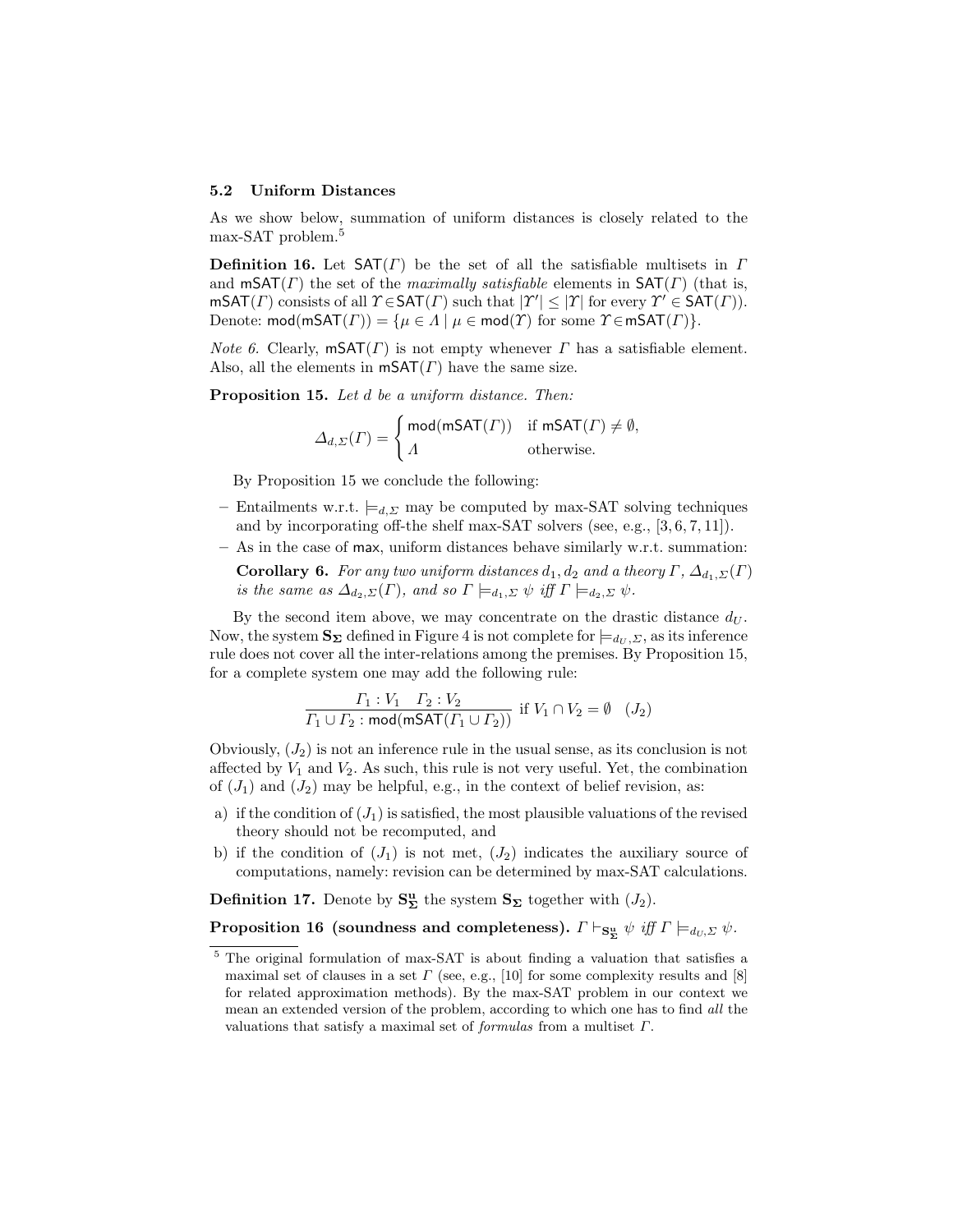#### 5.2 Uniform Distances

As we show below, summation of uniform distances is closely related to the max-SAT problem.<sup>5</sup>

**Definition 16.** Let  $SAT(\Gamma)$  be the set of all the satisfiable multisets in  $\Gamma$ and mSAT(Γ) the set of the maximally satisfiable elements in  $SAT(\Gamma)$  (that is,  $\text{mSAT}(T)$  consists of all  $\Upsilon \in \text{SAT}(T)$  such that  $|\Upsilon'| \leq |\Upsilon|$  for every  $\Upsilon' \in \text{SAT}(T)$ ). Denote:  $\text{mod}(m\text{SAT}(T)) = \{ \mu \in \Lambda \mid \mu \in \text{mod}(\Upsilon) \text{ for some } \Upsilon \in m\text{SAT}(T) \}.$ 

*Note 6.* Clearly,  $mSAT(\Gamma)$  is not empty whenever  $\Gamma$  has a satisfiable element. Also, all the elements in  $mSAT(\Gamma)$  have the same size.

Proposition 15. Let d be a uniform distance. Then:

$$
\Delta_{d,\Sigma}(\Gamma) = \begin{cases} \text{mod}(\text{mSAT}(\Gamma)) & \text{if } \text{mSAT}(\Gamma) \neq \emptyset, \\ \Lambda & \text{otherwise.} \end{cases}
$$

By Proposition 15 we conclude the following:

- Entailments w.r.t.  $\models d, \Sigma$  may be computed by max-SAT solving techniques and by incorporating off-the shelf max-SAT solvers (see, e.g., [3, 6, 7, 11]).
- As in the case of max, uniform distances behave similarly w.r.t. summation:

**Corollary 6.** For any two uniform distances  $d_1, d_2$  and a theory  $\Gamma$ ,  $\Delta_{d_1,\Sigma}(\Gamma)$ is the same as  $\Delta_{d_2,\Sigma}(\Gamma)$ , and so  $\Gamma \models_{d_1,\Sigma} \psi$  iff  $\Gamma \models_{d_2,\Sigma} \psi$ .

By the second item above, we may concentrate on the drastic distance  $d_U$ . Now, the system  $S_{\Sigma}$  defined in Figure 4 is not complete for  $\models d_{U} \Sigma$ , as its inference rule does not cover all the inter-relations among the premises. By Proposition 15, for a complete system one may add the following rule:

$$
\frac{\Gamma_1: V_1 \quad \Gamma_2: V_2}{\Gamma_1 \cup \Gamma_2: \text{mod}(\text{mSAT}(\Gamma_1 \cup \Gamma_2))} \text{ if } V_1 \cap V_2 = \emptyset \quad (J_2)
$$

Obviously,  $(J_2)$  is not an inference rule in the usual sense, as its conclusion is not affected by  $V_1$  and  $V_2$ . As such, this rule is not very useful. Yet, the combination of  $(J_1)$  and  $(J_2)$  may be helpful, e.g., in the context of belief revision, as:

- a) if the condition of  $(J_1)$  is satisfied, the most plausible valuations of the revised theory should not be recomputed, and
- b) if the condition of  $(J_1)$  is not met,  $(J_2)$  indicates the auxiliary source of computations, namely: revision can be determined by max-SAT calculations.

**Definition 17.** Denote by  $S_{\Sigma}^{\mathbf{u}}$  the system  $S_{\Sigma}$  together with  $(J_2)$ .

 $\bf{Proposition~16} \ \text{(soundness and completeness)}.$   $\Gamma \vdash_{\bf{S_E^u}} \psi \text{ iff } \Gamma \models_{d_U, \Sigma} \psi.$ 

<sup>5</sup> The original formulation of max-SAT is about finding a valuation that satisfies a maximal set of clauses in a set  $\Gamma$  (see, e.g., [10] for some complexity results and [8] for related approximation methods). By the max-SAT problem in our context we mean an extended version of the problem, according to which one has to find all the valuations that satisfy a maximal set of *formulas* from a multiset  $\Gamma$ .